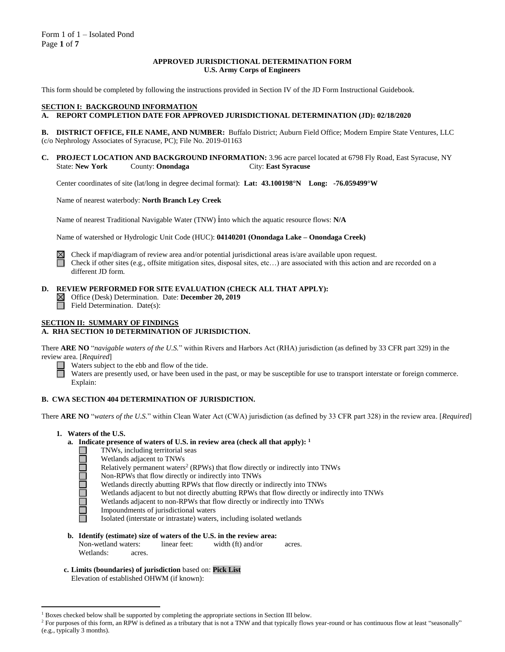#### **APPROVED JURISDICTIONAL DETERMINATION FORM U.S. Army Corps of Engineers**

This form should be completed by following the instructions provided in Section IV of the JD Form Instructional Guidebook.

#### **SECTION I: BACKGROUND INFORMATION**

# **A. REPORT COMPLETION DATE FOR APPROVED JURISDICTIONAL DETERMINATION (JD): 02/18/2020**

**B. DISTRICT OFFICE, FILE NAME, AND NUMBER:** Buffalo District; Auburn Field Office; Modern Empire State Ventures, LLC (c/o Nephrology Associates of Syracuse, PC); File No. 2019-01163

**C. PROJECT LOCATION AND BACKGROUND INFORMATION:** 3.96 acre parcel located at 6798 Fly Road, East Syracuse, NY State: **New York** County: **Onondaga** City: **East Syracuse**

Center coordinates of site (lat/long in degree decimal format): **Lat: 43.100198°N Long: -76.059499°W**

Name of nearest waterbody: **North Branch Ley Creek**

Name of nearest Traditional Navigable Water (TNW) into which the aquatic resource flows: **N/A**

Name of watershed or Hydrologic Unit Code (HUC): **04140201 (Onondaga Lake – Onondaga Creek)**



Check if map/diagram of review area and/or potential jurisdictional areas is/are available upon request.

Check if other sites (e.g., offsite mitigation sites, disposal sites, etc…) are associated with this action and are recorded on a different JD form.

#### **D. REVIEW PERFORMED FOR SITE EVALUATION (CHECK ALL THAT APPLY):**

Office (Desk) Determination. Date: **December 20, 2019**

 $\Box$  Field Determination. Date(s):

# **SECTION II: SUMMARY OF FINDINGS**

# **A. RHA SECTION 10 DETERMINATION OF JURISDICTION.**

There **ARE NO** "*navigable waters of the U.S.*" within Rivers and Harbors Act (RHA) jurisdiction (as defined by 33 CFR part 329) in the review area. [*Required*]

Waters subject to the ebb and flow of the tide.

Waters are presently used, or have been used in the past, or may be susceptible for use to transport interstate or foreign commerce. Explain:

#### **B. CWA SECTION 404 DETERMINATION OF JURISDICTION.**

There **ARE NO** "*waters of the U.S.*" within Clean Water Act (CWA) jurisdiction (as defined by 33 CFR part 328) in the review area. [*Required*]

**1. Waters of the U.S.**

**DEDEDER** 

- **a. Indicate presence of waters of U.S. in review area (check all that apply): 1**
	- TNWs, including territorial seas
	- Wetlands adjacent to TNWs
	- Relatively permanent waters<sup>2</sup> (RPWs) that flow directly or indirectly into TNWs
	- Non-RPWs that flow directly or indirectly into TNWs
	- Wetlands directly abutting RPWs that flow directly or indirectly into TNWs
	- Wetlands adjacent to but not directly abutting RPWs that flow directly or indirectly into TNWs
	- Wetlands adjacent to non-RPWs that flow directly or indirectly into TNWs
	- Impoundments of jurisdictional waters
	- Isolated (interstate or intrastate) waters, including isolated wetlands
- **b. Identify (estimate) size of waters of the U.S. in the review area:**<br>Non-wetland waters: linear feet: width (ft) and/or Non-wetland waters: linear feet: width (ft) and/or acres. Wetlands: acres.
- **c. Limits (boundaries) of jurisdiction** based on: **Pick List** Elevation of established OHWM (if known):

 $<sup>1</sup>$  Boxes checked below shall be supported by completing the appropriate sections in Section III below.</sup>

<sup>&</sup>lt;sup>2</sup> For purposes of this form, an RPW is defined as a tributary that is not a TNW and that typically flows year-round or has continuous flow at least "seasonally" (e.g., typically 3 months).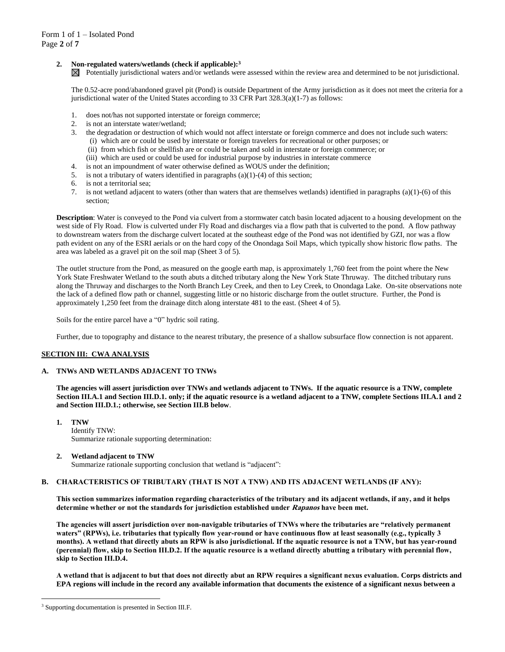# **2. Non-regulated waters/wetlands (check if applicable): 3**

 $\boxtimes$  Potentially jurisdictional waters and/or wetlands were assessed within the review area and determined to be not jurisdictional.

The 0.52-acre pond/abandoned gravel pit (Pond) is outside Department of the Army jurisdiction as it does not meet the criteria for a jurisdictional water of the United States according to 33 CFR Part 328.3(a)(1-7) as follows:

- 1. does not/has not supported interstate or foreign commerce;
- 2. is not an interstate water/wetland;
- 3. the degradation or destruction of which would not affect interstate or foreign commerce and does not include such waters: (i) which are or could be used by interstate or foreign travelers for recreational or other purposes; or
	- (ii) from which fish or shellfish are or could be taken and sold in interstate or foreign commerce; or
	- (iii) which are used or could be used for industrial purpose by industries in interstate commerce
- 4. is not an impoundment of water otherwise defined as WOUS under the definition;
- 5. is not a tributary of waters identified in paragraphs (a)(1)-(4) of this section;
- 
- 6. is not a territorial sea;
- 7. is not wetland adjacent to waters (other than waters that are themselves wetlands) identified in paragraphs (a)(1)-(6) of this section;

**Description**: Water is conveyed to the Pond via culvert from a stormwater catch basin located adjacent to a housing development on the west side of Fly Road. Flow is culverted under Fly Road and discharges via a flow path that is culverted to the pond. A flow pathway to downstream waters from the discharge culvert located at the southeast edge of the Pond was not identified by GZI, nor was a flow path evident on any of the ESRI aerials or on the hard copy of the Onondaga Soil Maps, which typically show historic flow paths. The area was labeled as a gravel pit on the soil map (Sheet 3 of 5).

The outlet structure from the Pond, as measured on the google earth map, is approximately 1,760 feet from the point where the New York State Freshwater Wetland to the south abuts a ditched tributary along the New York State Thruway. The ditched tributary runs along the Thruway and discharges to the North Branch Ley Creek, and then to Ley Creek, to Onondaga Lake. On-site observations note the lack of a defined flow path or channel, suggesting little or no historic discharge from the outlet structure. Further, the Pond is approximately 1,250 feet from the drainage ditch along interstate 481 to the east. (Sheet 4 of 5).

Soils for the entire parcel have a "0" hydric soil rating.

Further, due to topography and distance to the nearest tributary, the presence of a shallow subsurface flow connection is not apparent.

#### **SECTION III: CWA ANALYSIS**

# **A. TNWs AND WETLANDS ADJACENT TO TNWs**

**The agencies will assert jurisdiction over TNWs and wetlands adjacent to TNWs. If the aquatic resource is a TNW, complete Section III.A.1 and Section III.D.1. only; if the aquatic resource is a wetland adjacent to a TNW, complete Sections III.A.1 and 2 and Section III.D.1.; otherwise, see Section III.B below**.

**1. TNW**  Identify TNW: Summarize rationale supporting determination:

# **2. Wetland adjacent to TNW**

Summarize rationale supporting conclusion that wetland is "adjacent":

#### **B. CHARACTERISTICS OF TRIBUTARY (THAT IS NOT A TNW) AND ITS ADJACENT WETLANDS (IF ANY):**

**This section summarizes information regarding characteristics of the tributary and its adjacent wetlands, if any, and it helps determine whether or not the standards for jurisdiction established under Rapanos have been met.** 

**The agencies will assert jurisdiction over non-navigable tributaries of TNWs where the tributaries are "relatively permanent waters" (RPWs), i.e. tributaries that typically flow year-round or have continuous flow at least seasonally (e.g., typically 3 months). A wetland that directly abuts an RPW is also jurisdictional. If the aquatic resource is not a TNW, but has year-round (perennial) flow, skip to Section III.D.2. If the aquatic resource is a wetland directly abutting a tributary with perennial flow, skip to Section III.D.4.**

**A wetland that is adjacent to but that does not directly abut an RPW requires a significant nexus evaluation. Corps districts and EPA regions will include in the record any available information that documents the existence of a significant nexus between a** 

<sup>&</sup>lt;sup>3</sup> Supporting documentation is presented in Section III.F.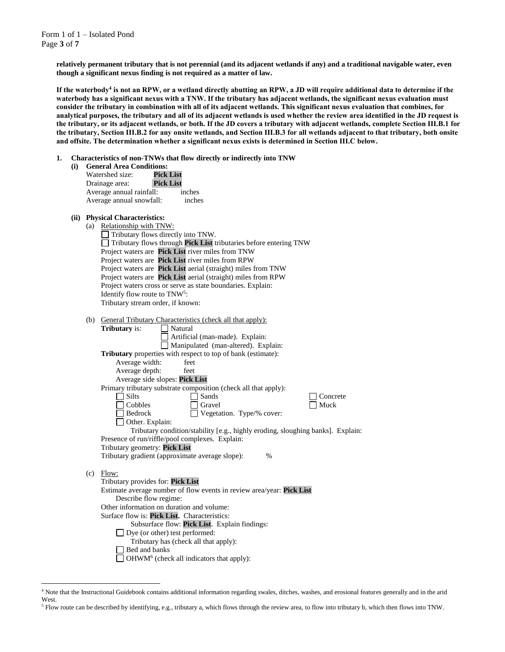Form 1 of 1 – Isolated Pond Page **3** of **7**

 $\overline{a}$ 

**relatively permanent tributary that is not perennial (and its adjacent wetlands if any) and a traditional navigable water, even though a significant nexus finding is not required as a matter of law.**

**If the waterbody<sup>4</sup> is not an RPW, or a wetland directly abutting an RPW, a JD will require additional data to determine if the waterbody has a significant nexus with a TNW. If the tributary has adjacent wetlands, the significant nexus evaluation must consider the tributary in combination with all of its adjacent wetlands. This significant nexus evaluation that combines, for analytical purposes, the tributary and all of its adjacent wetlands is used whether the review area identified in the JD request is the tributary, or its adjacent wetlands, or both. If the JD covers a tributary with adjacent wetlands, complete Section III.B.1 for the tributary, Section III.B.2 for any onsite wetlands, and Section III.B.3 for all wetlands adjacent to that tributary, both onsite and offsite. The determination whether a significant nexus exists is determined in Section III.C below.**

**1. Characteristics of non-TNWs that flow directly or indirectly into TNW**

| (i) | <b>General Area Conditions:</b> |                  |
|-----|---------------------------------|------------------|
|     | Watershed size:                 | Pick List        |
|     | Drainage area:                  | <b>Pick List</b> |
|     |                                 | .                |

| Watershed size:          | Pick List        |
|--------------------------|------------------|
| Drainage area:           | <b>Pick List</b> |
| Average annual rainfall: | inches           |
| Average annual snowfall: | inches           |
|                          |                  |

|  | (ii) Physical Characteristics:                                                  |
|--|---------------------------------------------------------------------------------|
|  | (a) Relationship with TNW:                                                      |
|  | $\Box$ Tributary flows directly into TNW.                                       |
|  | Tributary flows through Pick List tributaries before entering TNW               |
|  | Project waters are Pick List river miles from TNW                               |
|  | Project waters are Pick List river miles from RPW                               |
|  | Project waters are <b>Pick List</b> aerial (straight) miles from TNW            |
|  | Project waters are Pick List aerial (straight) miles from RPW                   |
|  | Project waters cross or serve as state boundaries. Explain:                     |
|  | Identify flow route to TNW <sup>5</sup> :                                       |
|  | Tributary stream order, if known:                                               |
|  | (b) General Tributary Characteristics (check all that apply):                   |
|  | <b>Tributary</b> is:<br>Natural                                                 |
|  | Artificial (man-made). Explain:                                                 |
|  | Manipulated (man-altered). Explain:                                             |
|  | <b>Tributary</b> properties with respect to top of bank (estimate):             |
|  | Average width:<br>feet                                                          |
|  | Average depth:<br>feet                                                          |
|  | Average side slopes: Pick List                                                  |
|  | Primary tributary substrate composition (check all that apply):                 |
|  | <b>Silts</b><br>Sands<br>Concrete                                               |
|  | $\Box$ Cobbles<br>Gravel<br>Muck                                                |
|  | Vegetation. Type/% cover:<br>Bedrock                                            |
|  | $\Box$ Other. Explain:                                                          |
|  | Tributary condition/stability [e.g., highly eroding, sloughing banks]. Explain: |
|  | Presence of run/riffle/pool complexes. Explain:                                 |
|  | Tributary geometry: Pick List                                                   |
|  | Tributary gradient (approximate average slope):<br>$\frac{0}{0}$                |
|  | $(c)$ Flow:                                                                     |
|  | Tributary provides for: Pick List                                               |
|  | Estimate average number of flow events in review area/year: Pick List           |
|  | Describe flow regime:                                                           |
|  | Other information on duration and volume:                                       |
|  | Surface flow is: Pick List. Characteristics:                                    |
|  | Subsurface flow: Pick List. Explain findings:                                   |
|  | $\Box$ Dye (or other) test performed:                                           |
|  | Tributary has (check all that apply):                                           |
|  | Bed and banks                                                                   |
|  | $\Box$ OHWM <sup>6</sup> (check all indicators that apply):                     |

<sup>4</sup> Note that the Instructional Guidebook contains additional information regarding swales, ditches, washes, and erosional features generally and in the arid West.

<sup>5</sup> Flow route can be described by identifying, e.g., tributary a, which flows through the review area, to flow into tributary b, which then flows into TNW.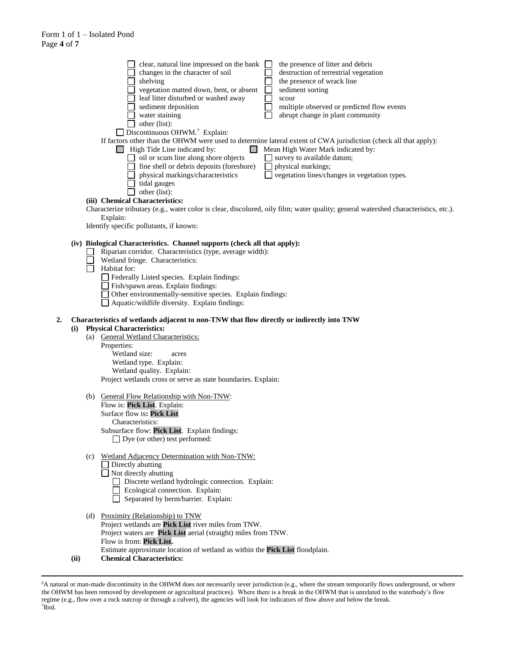|    |      |     | clear, natural line impressed on the bank<br>the presence of litter and debris<br>$\perp$<br>changes in the character of soil<br>destruction of terrestrial vegetation<br>shelving<br>the presence of wrack line<br>vegetation matted down, bent, or absent<br>sediment sorting<br>leaf litter disturbed or washed away<br>scour<br>multiple observed or predicted flow events<br>sediment deposition<br>water staining<br>abrupt change in plant community<br>$\Box$ other (list):<br>$\Box$ Discontinuous OHWM. <sup>7</sup> Explain:<br>If factors other than the OHWM were used to determine lateral extent of CWA jurisdiction (check all that apply):<br>$\Box$ High Tide Line indicated by:<br>Mean High Water Mark indicated by:<br>$\Box$ oil or scum line along shore objects<br>$\Box$ survey to available datum;<br>fine shell or debris deposits (foreshore)<br>physical markings;<br>$\Box$ vegetation lines/changes in vegetation types.<br>physical markings/characteristics<br>tidal gauges<br>other (list):<br>(iii) Chemical Characteristics:<br>Characterize tributary (e.g., water color is clear, discolored, oily film; water quality; general watershed characteristics, etc.).<br>Explain:<br>Identify specific pollutants, if known: |
|----|------|-----|----------------------------------------------------------------------------------------------------------------------------------------------------------------------------------------------------------------------------------------------------------------------------------------------------------------------------------------------------------------------------------------------------------------------------------------------------------------------------------------------------------------------------------------------------------------------------------------------------------------------------------------------------------------------------------------------------------------------------------------------------------------------------------------------------------------------------------------------------------------------------------------------------------------------------------------------------------------------------------------------------------------------------------------------------------------------------------------------------------------------------------------------------------------------------------------------------------------------------------------------------------------|
|    |      |     | (iv) Biological Characteristics. Channel supports (check all that apply):<br>Riparian corridor. Characteristics (type, average width):<br>Wetland fringe. Characteristics:<br>Habitat for:<br>Federally Listed species. Explain findings:<br>Fish/spawn areas. Explain findings:<br>Other environmentally-sensitive species. Explain findings:<br>$\Box$ Aquatic/wildlife diversity. Explain findings:                                                                                                                                                                                                                                                                                                                                                                                                                                                                                                                                                                                                                                                                                                                                                                                                                                                         |
| 2. | (i)  |     | Characteristics of wetlands adjacent to non-TNW that flow directly or indirectly into TNW<br><b>Physical Characteristics:</b><br>(a) General Wetland Characteristics:<br>Properties:<br>Wetland size:<br>acres<br>Wetland type. Explain:<br>Wetland quality. Explain:<br>Project wetlands cross or serve as state boundaries. Explain:                                                                                                                                                                                                                                                                                                                                                                                                                                                                                                                                                                                                                                                                                                                                                                                                                                                                                                                         |
|    |      | (b) | General Flow Relationship with Non-TNW:<br>Flow is: Pick List. Explain:<br>Surface flow is: Pick List<br>Characteristics:<br>Subsurface flow: Pick List. Explain findings:<br>$\Box$ Dye (or other) test performed:                                                                                                                                                                                                                                                                                                                                                                                                                                                                                                                                                                                                                                                                                                                                                                                                                                                                                                                                                                                                                                            |
|    |      | (c) | <b>Wetland Adjacency Determination with Non-TNW:</b><br>$\Box$ Directly abutting<br>$\Box$ Not directly abutting<br>Discrete wetland hydrologic connection. Explain:<br>Ecological connection. Explain:<br>Separated by berm/barrier. Explain:                                                                                                                                                                                                                                                                                                                                                                                                                                                                                                                                                                                                                                                                                                                                                                                                                                                                                                                                                                                                                 |
|    | (ii) |     | (d) Proximity (Relationship) to TNW<br>Project wetlands are Pick List river miles from TNW.<br>Project waters are Pick List aerial (straight) miles from TNW.<br>Flow is from: Pick List.<br>Estimate approximate location of wetland as within the Pick List floodplain.<br><b>Chemical Characteristics:</b>                                                                                                                                                                                                                                                                                                                                                                                                                                                                                                                                                                                                                                                                                                                                                                                                                                                                                                                                                  |

<sup>6</sup>A natural or man-made discontinuity in the OHWM does not necessarily sever jurisdiction (e.g., where the stream temporarily flows underground, or where the OHWM has been removed by development or agricultural practices). Where there is a break in the OHWM that is unrelated to the waterbody's flow regime (e.g., flow over a rock outcrop or through a culvert), the agencies will look for indicators of flow above and below the break. 7 Ibid.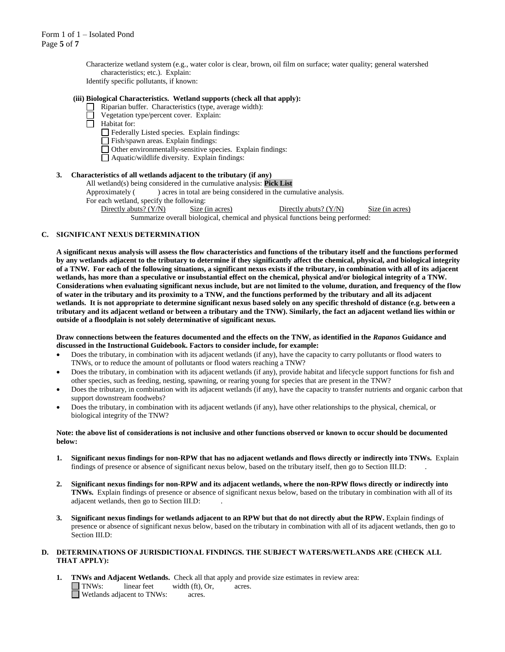Characterize wetland system (e.g., water color is clear, brown, oil film on surface; water quality; general watershed characteristics; etc.). Explain:

Identify specific pollutants, if known:

# **(iii) Biological Characteristics. Wetland supports (check all that apply):**

- $\Box$  Riparian buffer. Characteristics (type, average width):
	- Vegetation type/percent cover. Explain:

Habitat for:

- Federally Listed species. Explain findings:
- Fish/spawn areas. Explain findings:
- Other environmentally-sensitive species. Explain findings:
- Aquatic/wildlife diversity. Explain findings:

# **3. Characteristics of all wetlands adjacent to the tributary (if any)**

All wetland(s) being considered in the cumulative analysis: **Pick List**

Approximately ( ) acres in total are being considered in the cumulative analysis.

For each wetland, specify the following:

Directly abuts? (Y/N) Size (in acres) Directly abuts? (Y/N) Size (in acres) Summarize overall biological, chemical and physical functions being performed:

#### **C. SIGNIFICANT NEXUS DETERMINATION**

**A significant nexus analysis will assess the flow characteristics and functions of the tributary itself and the functions performed by any wetlands adjacent to the tributary to determine if they significantly affect the chemical, physical, and biological integrity of a TNW. For each of the following situations, a significant nexus exists if the tributary, in combination with all of its adjacent wetlands, has more than a speculative or insubstantial effect on the chemical, physical and/or biological integrity of a TNW. Considerations when evaluating significant nexus include, but are not limited to the volume, duration, and frequency of the flow of water in the tributary and its proximity to a TNW, and the functions performed by the tributary and all its adjacent wetlands. It is not appropriate to determine significant nexus based solely on any specific threshold of distance (e.g. between a tributary and its adjacent wetland or between a tributary and the TNW). Similarly, the fact an adjacent wetland lies within or outside of a floodplain is not solely determinative of significant nexus.** 

**Draw connections between the features documented and the effects on the TNW, as identified in the** *Rapanos* **Guidance and discussed in the Instructional Guidebook. Factors to consider include, for example:**

- Does the tributary, in combination with its adjacent wetlands (if any), have the capacity to carry pollutants or flood waters to TNWs, or to reduce the amount of pollutants or flood waters reaching a TNW?
- Does the tributary, in combination with its adjacent wetlands (if any), provide habitat and lifecycle support functions for fish and other species, such as feeding, nesting, spawning, or rearing young for species that are present in the TNW?
- Does the tributary, in combination with its adjacent wetlands (if any), have the capacity to transfer nutrients and organic carbon that support downstream foodwebs?
- Does the tributary, in combination with its adjacent wetlands (if any), have other relationships to the physical, chemical, or biological integrity of the TNW?

#### **Note: the above list of considerations is not inclusive and other functions observed or known to occur should be documented below:**

- **1. Significant nexus findings for non-RPW that has no adjacent wetlands and flows directly or indirectly into TNWs.** Explain findings of presence or absence of significant nexus below, based on the tributary itself, then go to Section III.D: .
- **2. Significant nexus findings for non-RPW and its adjacent wetlands, where the non-RPW flows directly or indirectly into TNWs.** Explain findings of presence or absence of significant nexus below, based on the tributary in combination with all of its adjacent wetlands, then go to Section III.D: .
- **3. Significant nexus findings for wetlands adjacent to an RPW but that do not directly abut the RPW.** Explain findings of presence or absence of significant nexus below, based on the tributary in combination with all of its adjacent wetlands, then go to Section III.D:

#### **D. DETERMINATIONS OF JURISDICTIONAL FINDINGS. THE SUBJECT WATERS/WETLANDS ARE (CHECK ALL THAT APPLY):**

**1. TNWs and Adjacent Wetlands.** Check all that apply and provide size estimates in review area: TNWs: linear feet width (ft), Or, acres. Wetlands adjacent to TNWs: acres.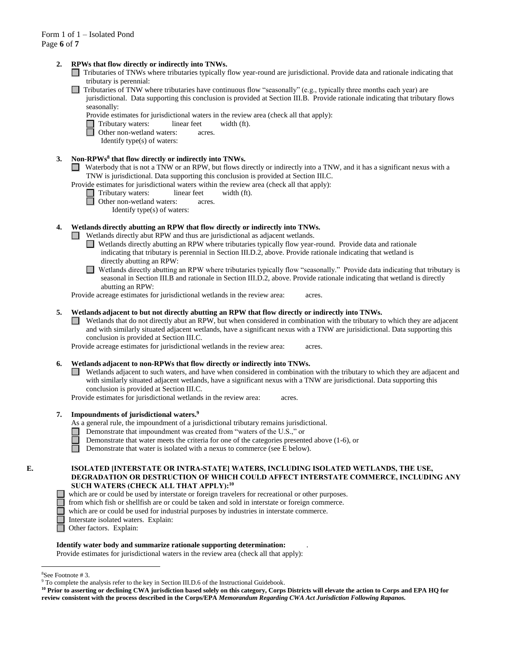#### **2. RPWs that flow directly or indirectly into TNWs.**

- Tributaries of TNWs where tributaries typically flow year-round are jurisdictional. Provide data and rationale indicating that tributary is perennial:
- $\Box$  Tributaries of TNW where tributaries have continuous flow "seasonally" (e.g., typically three months each year) are jurisdictional. Data supporting this conclusion is provided at Section III.B. Provide rationale indicating that tributary flows seasonally:
	- Provide estimates for jurisdictional waters in the review area (check all that apply):
	- Tributary waters: linear feet width (ft).<br>
	Other non-wetland waters: acres.
	- Other non-wetland waters: acres.
		- Identify type(s) of waters:

# **3. Non-RPWs<sup>8</sup> that flow directly or indirectly into TNWs.**

- Waterbody that is not a TNW or an RPW, but flows directly or indirectly into a TNW, and it has a significant nexus with a TNW is jurisdictional. Data supporting this conclusion is provided at Section III.C.
- Provide estimates for jurisdictional waters within the review area (check all that apply):
	- Tributary waters: linear feet width (ft).
	- **d** Other non-wetland waters: acres.
		- Identify type(s) of waters:

#### **4. Wetlands directly abutting an RPW that flow directly or indirectly into TNWs.**

- Wetlands directly abut RPW and thus are jurisdictional as adjacent wetlands.
	- Wetlands directly abutting an RPW where tributaries typically flow year-round. Provide data and rationale indicating that tributary is perennial in Section III.D.2, above. Provide rationale indicating that wetland is directly abutting an RPW:
	- Wetlands directly abutting an RPW where tributaries typically flow "seasonally." Provide data indicating that tributary is □ seasonal in Section III.B and rationale in Section III.D.2, above. Provide rationale indicating that wetland is directly abutting an RPW:

Provide acreage estimates for jurisdictional wetlands in the review area: acres.

#### **5. Wetlands adjacent to but not directly abutting an RPW that flow directly or indirectly into TNWs.**

Wetlands that do not directly abut an RPW, but when considered in combination with the tributary to which they are adjacent and with similarly situated adjacent wetlands, have a significant nexus with a TNW are jurisidictional. Data supporting this conclusion is provided at Section III.C.

Provide acreage estimates for jurisdictional wetlands in the review area: acres.

# **6. Wetlands adjacent to non-RPWs that flow directly or indirectly into TNWs.**

Wetlands adjacent to such waters, and have when considered in combination with the tributary to which they are adjacent and with similarly situated adjacent wetlands, have a significant nexus with a TNW are jurisdictional. Data supporting this conclusion is provided at Section III.C.

Provide estimates for jurisdictional wetlands in the review area: acres.

#### **7. Impoundments of jurisdictional waters. 9**

As a general rule, the impoundment of a jurisdictional tributary remains jurisdictional.

- Demonstrate that impoundment was created from "waters of the U.S.," or
	- Demonstrate that water meets the criteria for one of the categories presented above (1-6), or
- n Demonstrate that water is isolated with a nexus to commerce (see E below).

# **E. ISOLATED [INTERSTATE OR INTRA-STATE] WATERS, INCLUDING ISOLATED WETLANDS, THE USE, DEGRADATION OR DESTRUCTION OF WHICH COULD AFFECT INTERSTATE COMMERCE, INCLUDING ANY SUCH WATERS (CHECK ALL THAT APPLY):<sup>10</sup>**

- which are or could be used by interstate or foreign travelers for recreational or other purposes.
- from which fish or shellfish are or could be taken and sold in interstate or foreign commerce.
- which are or could be used for industrial purposes by industries in interstate commerce.
- Interstate isolated waters.Explain:
- Other factors.Explain:

#### **Identify water body and summarize rationale supporting determination:** .

Provide estimates for jurisdictional waters in the review area (check all that apply):

<sup>8</sup>See Footnote # 3.

<sup>9</sup> To complete the analysis refer to the key in Section III.D.6 of the Instructional Guidebook.

**<sup>10</sup> Prior to asserting or declining CWA jurisdiction based solely on this category, Corps Districts will elevate the action to Corps and EPA HQ for review consistent with the process described in the Corps/EPA** *Memorandum Regarding CWA Act Jurisdiction Following Rapanos.*